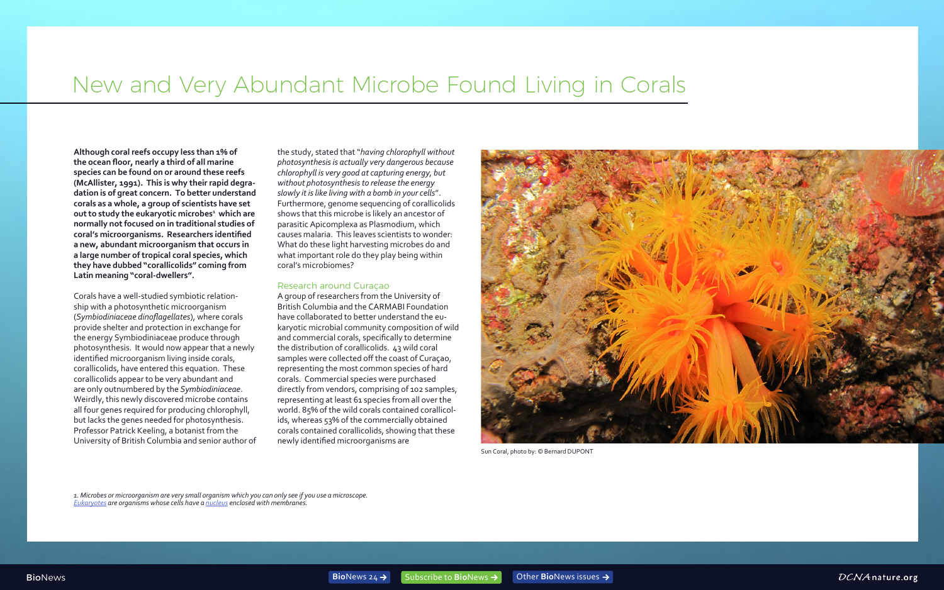## New and Very Abundant Microbe Found Living in Corals

**Although coral reefs occupy less than 1% of the ocean floor, nearly a third of all marine species can be found on or around these reefs (McAllister, 1991). This is why their rapid degradation is of great concern. To better understand corals as a whole, a group of scientists have set out to study the eukaryotic microbes<sup>1</sup> which are normally not focused on in traditional studies of coral's microorganisms. Researchers identified a new, abundant microorganism that occurs in a large number of tropical coral species, which they have dubbed "corallicolids" coming from Latin meaning "coral-dwellers".** 

Corals have a well-studied symbiotic relationship with a photosynthetic microorganism (*Symbiodiniaceae dinoflagellates*), where corals provide shelter and protection in exchange for the energy Symbiodiniaceae produce through photosynthesis. It would now appear that a newly identified microorganism living inside corals, corallicolids, have entered this equation. These corallicolids appear to be very abundant and are only outnumbered by the *Symbiodiniaceae*. Weirdly, this newly discovered microbe contains all four genes required for producing chlorophyll, but lacks the genes needed for photosynthesis. Professor Patrick Keeling, a botanist from the University of British Columbia and senior author of the study, stated that "*having chlorophyll without photosynthesis is actually very dangerous because chlorophyll is very good at capturing energy, but without photosynthesis to release the energy slowly it is like living with a bomb in your cells*". Furthermore, genome sequencing of corallicolids shows that this microbe is likely an ancestor of parasitic Apicomplexa as Plasmodium, which causes malaria. This leaves scientists to wonder: What do these light harvesting microbes do and what important role do they play being within coral's microbiomes?

## Research around Curaçao

A group of researchers from the University of British Columbia and the CARMABI Foundation have collaborated to better understand the eukaryotic microbial community composition of wild and commercial corals, specifically to determine the distribution of corallicolids. 43 wild coral samples were collected off the coast of Curaçao, representing the most common species of hard corals. Commercial species were purchased directly from vendors, comprising of 102 samples, representing at least 61 species from all over the world. 85% of the wild corals contained corallicolids, whereas 53% of the commercially obtained corals contained corallicolids, showing that these newly identified microorganisms are

*1. Microbes or microorganism are very small organism which you can only see if you use a microscope. [Eukaryotes](https://www.britannica.com/science/eukaryote) are organisms whose cells have a [nucleus](https://www.britannica.com/science/nucleus-biology) enclosed with membranes.* 

DCNA nature.org



Sun Coral, photo by: © Bernard DUPONT